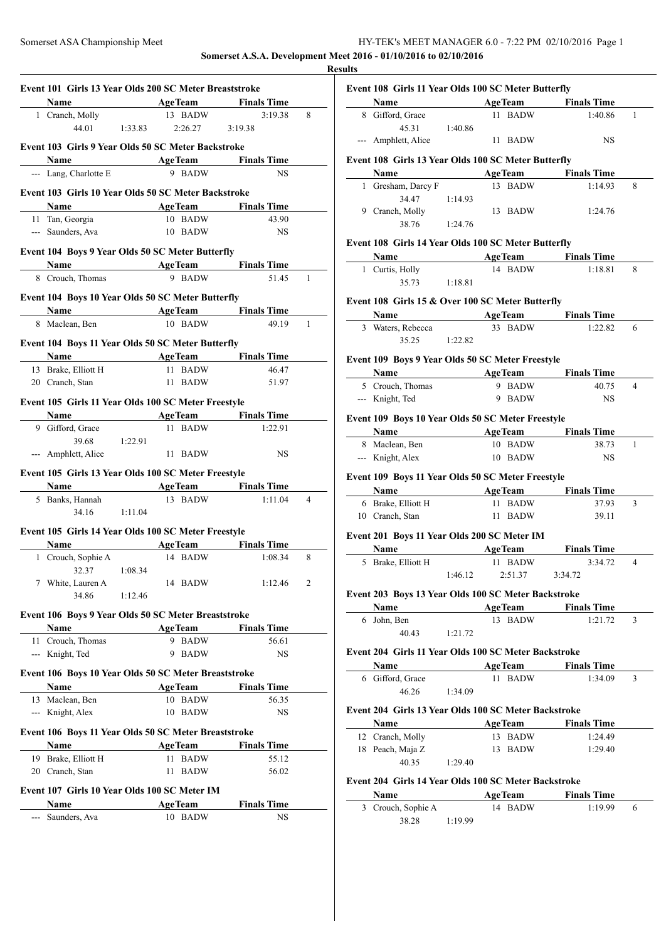| HY-TEK's MEET MANAGER 6.0 - 7:22 PM 02/10/2016 Page 1            |  |
|------------------------------------------------------------------|--|
| Somerset A.S.A. Development Meet 2016 - 01/10/2016 to 02/10/2016 |  |

**Results**

| Name AgeTeam Finals Time                             |                                       |                             |                |
|------------------------------------------------------|---------------------------------------|-----------------------------|----------------|
| 1 Cranch, Molly                                      | 13 BADW                               | 3:19.38                     | 8              |
| 44.01 1:33.83                                        | 2:26.27 3:19.38                       |                             |                |
| Event 103 Girls 9 Year Olds 50 SC Meter Backstroke   |                                       |                             |                |
| Name                                                 | <b>Example 2 Age Team</b> Finals Time |                             |                |
| --- Lang, Charlotte E                                | 9 BADW                                | <b>NS</b>                   |                |
| Event 103 Girls 10 Year Olds 50 SC Meter Backstroke  |                                       |                             |                |
| Name                                                 | <b>Example 2 Age Team</b> Finals Time |                             |                |
| 11 Tan, Georgia                                      | 10 BADW                               | 43.90                       |                |
| --- Saunders, Ava                                    | 10 BADW                               | <b>NS</b>                   |                |
| Event 104 Boys 9 Year Olds 50 SC Meter Butterfly     |                                       |                             |                |
| <b>Name</b> AgeTeam Finals Time                      |                                       |                             |                |
| 8 Crouch, Thomas                                     | 9 BADW                                | 51.45                       | 1              |
|                                                      |                                       |                             |                |
| Event 104 Boys 10 Year Olds 50 SC Meter Butterfly    |                                       |                             |                |
| <b>Name AgeTeam</b> Finals Time<br>8 Maclean, Ben    | 10 BADW                               | 49.19                       | $\mathbf{1}$   |
|                                                      |                                       |                             |                |
| Event 104 Boys 11 Year Olds 50 SC Meter Butterfly    |                                       |                             |                |
| Name AgeTeam Finals Time                             |                                       |                             |                |
| 13 Brake, Elliott H                                  | 11 BADW                               | 46.47                       |                |
| 20 Cranch, Stan                                      | 11 BADW                               | 51.97                       |                |
| Event 105 Girls 11 Year Olds 100 SC Meter Freestyle  |                                       |                             |                |
| <b>Name</b>                                          |                                       | AgeTeam Finals Time         |                |
| 9 Gifford, Grace                                     | 11 BADW                               | 1:22.91                     |                |
| 39.68<br>1:22.91                                     |                                       |                             |                |
| --- Amphlett, Alice                                  | 11 BADW                               | NS                          |                |
| Event 105 Girls 13 Year Olds 100 SC Meter Freestyle  |                                       |                             |                |
| Name<br>the control of the control of the control of |                                       | <b>AgeTeam</b> Finals Time  |                |
| 5 Banks, Hannah                                      | 13 BADW                               | 1:11.04                     | $\overline{4}$ |
| 34.16 1:11.04                                        |                                       |                             |                |
| Event 105 Girls 14 Year Olds 100 SC Meter Freestyle  |                                       |                             |                |
| <b>Name</b>                                          | <b>Example 2</b> Age Team             | <b>Finals Time</b>          |                |
| 1 Crouch, Sophie A                                   | 14 BADW                               | 1:08.34                     | 8              |
| 32.37 1:08.34                                        |                                       |                             |                |
| 7 White, Lauren A                                    | 14 BADW                               | 1:12.46                     | 2              |
| 34.86<br>1:12.46                                     |                                       |                             |                |
| Event 106 Boys 9 Year Olds 50 SC Meter Breaststroke  |                                       |                             |                |
| Name                                                 | AgeTeam                               | <b>Finals Time</b>          |                |
| 11 Crouch, Thomas                                    | 9 BADW                                | 56.61                       |                |
| --- Knight, Ted                                      | 9 BADW                                | NS                          |                |
| Event 106 Boys 10 Year Olds 50 SC Meter Breaststroke |                                       |                             |                |
| Name                                                 | <b>AgeTeam</b>                        | <b>Finals Time</b>          |                |
| 13 Maclean, Ben                                      | 10 BADW                               | 56.35                       |                |
| --- Knight, Alex                                     | 10 BADW                               | NS                          |                |
|                                                      |                                       |                             |                |
| Event 106 Boys 11 Year Olds 50 SC Meter Breaststroke |                                       |                             |                |
| Name<br>19 Brake, Elliott H                          | <b>AgeTeam</b><br><b>BADW</b><br>11 - | <b>Finals Time</b><br>55.12 |                |
| 20 Cranch, Stan                                      | 11<br>BADW                            | 56.02                       |                |
|                                                      |                                       |                             |                |
| Event 107 Girls 10 Year Olds 100 SC Meter IM         |                                       |                             |                |
|                                                      |                                       |                             |                |
| Name<br>--- Saunders, Ava                            | <b>AgeTeam</b><br>10 BADW             | <b>Finals Time</b><br>NS    |                |

|   |                                                              |         |                           | Event 108 Girls 11 Year Olds 100 SC Meter Butterfly<br><b>Name</b> AgeTeam Finals Time |   |
|---|--------------------------------------------------------------|---------|---------------------------|----------------------------------------------------------------------------------------|---|
|   | 8 Gifford, Grace                                             |         | 11 BADW                   | 1:40.86                                                                                | 1 |
|   | 45.31                                                        | 1:40.86 |                           |                                                                                        |   |
|   | --- Amphlett, Alice                                          |         | 11 BADW                   | NS                                                                                     |   |
|   |                                                              |         |                           |                                                                                        |   |
|   | Event 108 Girls 13 Year Olds 100 SC Meter Butterfly          |         |                           |                                                                                        |   |
|   | Name<br>1 Gresham, Darcy F                                   |         | 13 BADW                   | Age Team Finals Time<br>1:14.93                                                        | 8 |
|   | 34.47                                                        | 1:14.93 |                           |                                                                                        |   |
|   | 9 Cranch, Molly                                              |         | 13 BADW                   | 1:24.76                                                                                |   |
|   | 38.76                                                        | 1:24.76 |                           |                                                                                        |   |
|   |                                                              |         |                           |                                                                                        |   |
|   | Event 108 Girls 14 Year Olds 100 SC Meter Butterfly          |         |                           |                                                                                        |   |
|   | <b>Name</b>                                                  |         |                           | <b>Example 2 Age Team</b> Finals Time                                                  |   |
|   | 1 Curtis, Holly                                              |         | 14 BADW                   | 1:18.81                                                                                | 8 |
|   | 35.73 1:18.81                                                |         |                           |                                                                                        |   |
|   | Event 108 Girls 15 & Over 100 SC Meter Butterfly             |         |                           |                                                                                        |   |
|   | Name                                                         |         |                           | AgeTeam Finals Time                                                                    |   |
|   | 3 Waters, Rebecca                                            |         | 33 BADW                   | 1:22.82                                                                                | 6 |
|   | 35.25                                                        | 1:22.82 |                           |                                                                                        |   |
|   | Event 109 Boys 9 Year Olds 50 SC Meter Freestyle             |         |                           |                                                                                        |   |
|   | Name                                                         |         |                           | AgeTeam Finals Time                                                                    |   |
|   | 5 Crouch, Thomas                                             |         | 9 BADW                    | 40.75                                                                                  | 4 |
|   | --- Knight, Ted                                              |         | 9 BADW                    | <b>NS</b>                                                                              |   |
|   | Event 109 Boys 10 Year Olds 50 SC Meter Freestyle            |         |                           |                                                                                        |   |
|   |                                                              |         |                           | <b>Finals Time</b>                                                                     |   |
|   | Name AgeTeam<br>8 Maclean, Ben                               |         | 10 BADW                   | 38.73                                                                                  | 1 |
|   |                                                              |         |                           |                                                                                        |   |
|   |                                                              |         |                           |                                                                                        |   |
|   | --- Knight, Alex                                             |         | 10 BADW                   | <b>NS</b>                                                                              |   |
|   | Event 109 Boys 11 Year Olds 50 SC Meter Freestyle            |         |                           |                                                                                        |   |
|   | Name                                                         |         |                           | AgeTeam Finals Time                                                                    |   |
|   | 6 Brake, Elliott H                                           |         | 11 BADW                   | 37.93                                                                                  | 3 |
|   | 10 Cranch, Stan                                              |         | 11 BADW                   | 39.11                                                                                  |   |
|   | Event 201 Boys 11 Year Olds 200 SC Meter IM                  |         |                           |                                                                                        |   |
|   | Name                                                         |         | <b>AgeTeam</b>            | <b>Finals Time</b>                                                                     |   |
|   | 5 Brake, Elliott H                                           |         | 11 BADW                   | 3:34.72                                                                                | 4 |
|   |                                                              | 1:46.12 | 2:51.37                   | 3:34.72                                                                                |   |
|   |                                                              |         |                           |                                                                                        |   |
|   | Event 203 Boys 13 Year Olds 100 SC Meter Backstroke          |         |                           |                                                                                        |   |
|   | Name<br>6 John, Ben                                          |         | <b>AgeTeam</b><br>13 BADW | <b>Finals Time</b><br>1:21.72                                                          | 3 |
|   | 40.43                                                        | 1:21.72 |                           |                                                                                        |   |
|   |                                                              |         |                           |                                                                                        |   |
|   | Event 204 Girls 11 Year Olds 100 SC Meter Backstroke         |         |                           |                                                                                        |   |
|   | Name                                                         |         | <b>AgeTeam</b>            | <b>Finals Time</b>                                                                     |   |
|   | 6 Gifford, Grace                                             |         | 11 BADW                   | 1:34.09                                                                                | 3 |
|   | 46.26                                                        | 1:34.09 |                           |                                                                                        |   |
|   | Event 204 Girls 13 Year Olds 100 SC Meter Backstroke         |         |                           |                                                                                        |   |
|   | Name                                                         |         | <b>AgeTeam</b>            | <b>Finals Time</b>                                                                     |   |
|   | 12 Cranch, Molly                                             |         | 13 BADW                   | 1:24.49                                                                                |   |
|   | 18 Peach, Maja Z                                             |         | 13 BADW                   | 1:29.40                                                                                |   |
|   | 40.35                                                        | 1:29.40 |                           |                                                                                        |   |
|   |                                                              |         |                           |                                                                                        |   |
|   | Event 204 Girls 14 Year Olds 100 SC Meter Backstroke<br>Name |         |                           |                                                                                        |   |
| 3 | Crouch, Sophie A                                             |         | <b>AgeTeam</b><br>14 BADW | <b>Finals Time</b><br>1:19.99                                                          | 6 |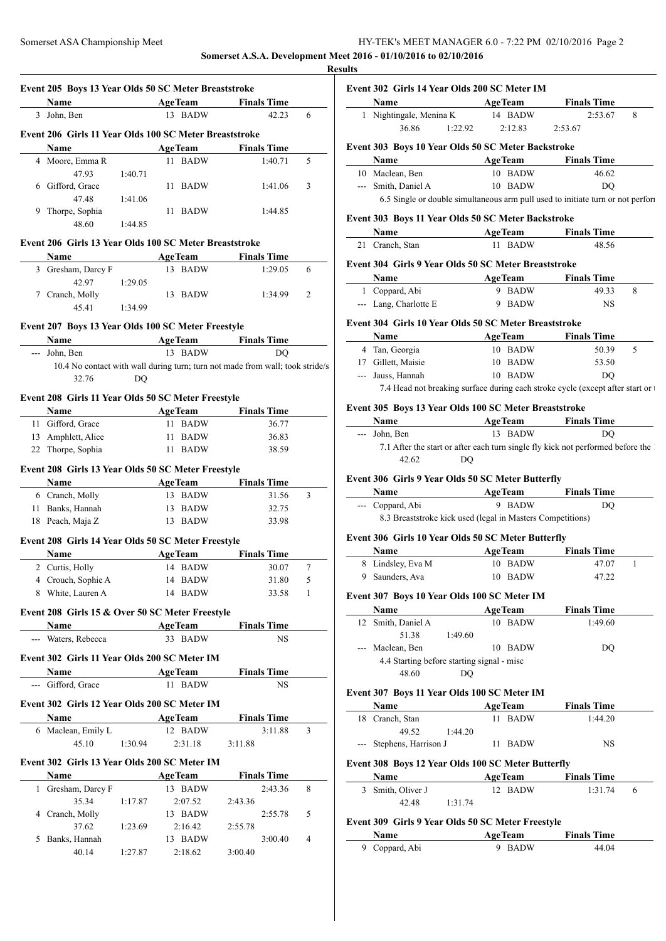# Somerset ASA Championship Meet HY-TEK's MEET MANAGER 6.0 - 7:22 PM 02/10/2016 Page 2 **Somerset A.S.A. Development Meet 2016 - 01/10/2016 to 02/10/2016**

**Result** 

| Event 205 Boys 13 Year Olds 50 SC Meter Breaststroke   |         |                    |                                                                               |                |
|--------------------------------------------------------|---------|--------------------|-------------------------------------------------------------------------------|----------------|
| <b>Name</b>                                            |         | AgeTeam            | <b>Finals Time</b>                                                            |                |
| 3 John, Ben                                            |         | 13 BADW            | 42.23                                                                         | 6              |
| Event 206 Girls 11 Year Olds 100 SC Meter Breaststroke |         |                    |                                                                               |                |
| Name                                                   |         | Age Team           | <b>Finals Time</b>                                                            |                |
| 4 Moore, Emma R                                        |         | 11 BADW            | 1:40.71                                                                       | 5              |
| 47.93                                                  | 1:40.71 |                    |                                                                               |                |
| 6 Gifford, Grace                                       |         | 11 BADW            | 1:41.06                                                                       | 3              |
| 47.48<br>9 Thorpe, Sophia                              | 1:41.06 | 11 BADW            | 1:44.85                                                                       |                |
| 48.60                                                  | 1:44.85 |                    |                                                                               |                |
|                                                        |         |                    |                                                                               |                |
| Event 206 Girls 13 Year Olds 100 SC Meter Breaststroke |         |                    |                                                                               |                |
| Name                                                   |         | AgeTeam            | <b>Finals Time</b>                                                            |                |
| 3 Gresham, Darcy F<br>42.97                            |         | 13 BADW            | 1:29.05                                                                       | 6              |
| 7 Cranch, Molly                                        | 1:29.05 | 13 BADW            | 1:34.99                                                                       | 2              |
| 45.41                                                  | 1:34.99 |                    |                                                                               |                |
|                                                        |         |                    |                                                                               |                |
| Event 207 Boys 13 Year Olds 100 SC Meter Freestyle     |         |                    |                                                                               |                |
| --- John, Ben                                          |         | 13 BADW            | Name AgeTeam Finals Time<br><b>DO</b>                                         |                |
|                                                        |         |                    | 10.4 No contact with wall during turn; turn not made from wall; took stride/s |                |
| 32.76                                                  | DQ      |                    |                                                                               |                |
|                                                        |         |                    |                                                                               |                |
| Event 208 Girls 11 Year Olds 50 SC Meter Freestyle     |         |                    |                                                                               |                |
| Name                                                   |         |                    | AgeTeam Finals Time                                                           |                |
| 11 Gifford, Grace                                      |         | 11 BADW<br>11 BADW | 36.77<br>36.83                                                                |                |
| 13 Amphlett, Alice<br>22 Thorpe, Sophia                |         | 11 BADW            | 38.59                                                                         |                |
|                                                        |         |                    |                                                                               |                |
| Event 208 Girls 13 Year Olds 50 SC Meter Freestyle     |         |                    |                                                                               |                |
| Name                                                   |         |                    | <b>Example 2 Age Team</b> Finals Time                                         |                |
| 6 Cranch, Molly                                        |         | 13 BADW            | 31.56                                                                         | 3              |
| 11 Banks, Hannah                                       |         | 13 BADW            | 32.75                                                                         |                |
| 18 Peach, Maja Z                                       |         | 13 BADW            | 33.98                                                                         |                |
| Event 208 Girls 14 Year Olds 50 SC Meter Freestyle     |         |                    |                                                                               |                |
| Name                                                   |         | AgeTeam            | <b>Finals Time</b>                                                            |                |
| 2 Curtis, Holly                                        |         | 14 BADW            | 30.07                                                                         | 7              |
| 4 Crouch, Sophie A                                     |         | 14 BADW            | 31.80                                                                         | 5              |
| 8 White, Lauren A                                      |         | 14 BADW            | 33.58                                                                         | 1              |
| Event 208 Girls 15 & Over 50 SC Meter Freestyle        |         |                    |                                                                               |                |
| Name                                                   |         | <b>AgeTeam</b>     | <b>Finals Time</b>                                                            |                |
| --- Waters, Rebecca                                    |         | 33 BADW            | NS.                                                                           |                |
| Event 302 Girls 11 Year Olds 200 SC Meter IM           |         |                    |                                                                               |                |
| Name                                                   |         | <b>AgeTeam</b>     | <b>Finals Time</b>                                                            |                |
| --- Gifford, Grace                                     |         | 11 BADW            | NS                                                                            |                |
|                                                        |         |                    |                                                                               |                |
| Event 302 Girls 12 Year Olds 200 SC Meter IM           |         |                    |                                                                               |                |
| Name                                                   |         |                    | <b>Example 2 Age Team</b> Finals Time                                         |                |
| 6 Maclean, Emily L                                     |         | 12 BADW            | 3:11.88                                                                       | 3              |
| 45.10                                                  | 1:30.94 | 2:31.18            | 3:11.88                                                                       |                |
| Event 302 Girls 13 Year Olds 200 SC Meter IM           |         |                    |                                                                               |                |
| Name                                                   |         | <b>AgeTeam</b>     | <b>Finals Time</b>                                                            |                |
| 1 Gresham, Darcy F                                     |         | 13 BADW            | 2:43.36                                                                       | 8              |
|                                                        | 1:17.87 | 2:07.52            | 2:43.36                                                                       |                |
| 35.34                                                  |         |                    | 2:55.78                                                                       | 5              |
| 4 Cranch, Molly                                        |         | 13 BADW            |                                                                               |                |
| 37.62                                                  | 1:23.69 | 2:16.42            | 2:55.78                                                                       |                |
| 5 Banks, Hannah<br>40.14                               | 1:27.87 | 13 BADW<br>2:18.62 | 3:00.40<br>3:00.40                                                            | $\overline{4}$ |

| Event 302 Girls 14 Year Olds 200 SC Meter IM<br><b>AgeTeam</b><br>Name          |                | <b>Finals Time</b>  |   |
|---------------------------------------------------------------------------------|----------------|---------------------|---|
| 1 Nightingale, Menina K 14 BADW                                                 |                | 2:53.67             | 8 |
| 36.86<br>1:22.92                                                                | 2:12.83        | 2:53.67             |   |
| Event 303 Boys 10 Year Olds 50 SC Meter Backstroke                              |                |                     |   |
| Name                                                                            |                | AgeTeam Finals Time |   |
| 10 Maclean, Ben                                                                 | 10 BADW        | 46.62               |   |
| --- Smith, Daniel A                                                             | 10 BADW        | DO                  |   |
| 6.5 Single or double simultaneous arm pull used to initiate turn or not perform |                |                     |   |
| Event 303 Boys 11 Year Olds 50 SC Meter Backstroke                              |                |                     |   |
| Name AgeTeam                                                                    |                | <b>Finals Time</b>  |   |
| 21 Cranch, Stan                                                                 | 11 BADW        | 48.56               |   |
| Event 304 Girls 9 Year Olds 50 SC Meter Breaststroke                            |                |                     |   |
| Name                                                                            | <b>AgeTeam</b> | <b>Finals Time</b>  |   |
| 1 Coppard, Abi                                                                  | 9 BADW         | 49.33               | 8 |
| --- Lang, Charlotte E                                                           | 9 BADW         | NS.                 |   |
| Event 304 Girls 10 Year Olds 50 SC Meter Breaststroke                           |                |                     |   |
| Name                                                                            |                | AgeTeam Finals Time |   |
| 4 Tan, Georgia                                                                  | 10 BADW        | 50.39               | 5 |
| 17 Gillett, Maisie                                                              | 10 BADW        | 53.50               |   |
| --- Jauss, Hannah                                                               | 10 BADW        | DO                  |   |
|                                                                                 |                |                     |   |
| 7.4 Head not breaking surface during each stroke cycle (except after start or t |                |                     |   |
| Event 305 Boys 13 Year Olds 100 SC Meter Breaststroke                           |                |                     |   |
| Name                                                                            |                | AgeTeam Finals Time |   |

# **Event 306 Girls 9 Year Olds 50 SC Meter Butterfly**

| <b>Name</b>      | <b>AgeTeam</b>                                             | <b>Finals Time</b> |  |
|------------------|------------------------------------------------------------|--------------------|--|
| --- Coppard, Abi | 9 BADW                                                     | DO                 |  |
|                  | 8.3 Breaststroke kick used (legal in Masters Competitions) |                    |  |

# **Event 306 Girls 10 Year Olds 50 SC Meter Butterfly**

| <b>Name</b>       | <b>AgeTeam</b> | <b>Finals Time</b> |
|-------------------|----------------|--------------------|
| 8 Lindsley, Eva M | 10 BADW        | 47.07              |
| 9 Saunders, Ava   | 10 BADW        | 47.22              |

## **Event 307 Boys 10 Year Olds 100 SC Meter IM**

| <b>Name</b>        | <b>AgeTeam</b>                             | <b>Finals Time</b> |  |
|--------------------|--------------------------------------------|--------------------|--|
| 12 Smith, Daniel A | 10                                         | BADW<br>1:49.60    |  |
| 51.38              | 1:49.60                                    |                    |  |
| --- Maclean, Ben   | 10.                                        | BADW<br>DO         |  |
|                    | 4.4 Starting before starting signal - misc |                    |  |
| 48.60              | DO                                         |                    |  |
|                    |                                            |                    |  |

#### **Event 307 Boys 11 Year Olds 100 SC Meter IM**

| <b>Name</b>                                                       | <b>AgeTeam</b> | <b>Finals Time</b> |
|-------------------------------------------------------------------|----------------|--------------------|
| 18 Cranch, Stan                                                   | BADW           | 1:44.20            |
| 49.52<br>1:44.20                                                  |                |                    |
| --- Stephens, Harrison J                                          | BADW<br>11.    | <b>NS</b>          |
| Event 308 Boys 12 Year Olds 100 SC Meter Butterfly<br><b>Name</b> | <b>AgeTeam</b> | <b>Finals Time</b> |

| 3 Smith, Oliver J |         | 12 RADW | 1:31.74 |  |
|-------------------|---------|---------|---------|--|
| 42.48             | 1:31.74 |         |         |  |

## **Event 309 Girls 9 Year Olds 50 SC Meter Freestyle**

| Name           | <b>AgeTeam</b> | <b>Finals Time</b> |  |
|----------------|----------------|--------------------|--|
| 9 Coppard, Abi | 9 RADW         | 44.04              |  |